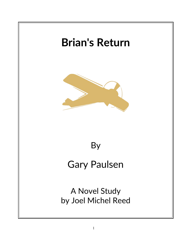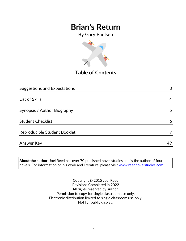By Gary Paulsen



**Table of Contents**

| <b>Suggestions and Expectations</b> | 3  |
|-------------------------------------|----|
|                                     |    |
| List of Skills                      | 4  |
| Synopsis / Author Biography         | 5  |
| <b>Student Checklist</b>            | 6  |
| Reproducible Student Booklet        |    |
| <b>Answer Key</b>                   | 49 |

**About the author:** Joel Reed has over 70 published novel studies and is the author of four novels. For information on his work and literature, please visit [www.reednovelstudies.com](http://www.reednovelstudies.com/)

> Copyright © 2015 Joel Reed Revisions Completed in 2022 All rights reserved by author. Permission to copy for single classroom use only. Electronic distribution limited to single classroom use only. Not for public display.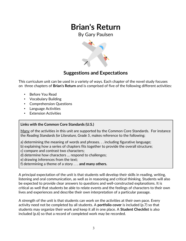By Gary Paulsen



### **Suggestions and Expectations**

This curriculum unit can be used in a variety of ways. Each chapter of the novel study focuses on three chapters of **Brian's Return** and is comprised of five of the following different activities:

- Before You Read
- Vocabulary Building
- Comprehension Questions
- Language Activities
- **Extension Activities**

#### **Links with the Common Core Standards (U.S.)**

Many of the activities in this unit are supported by the Common Core Standards. For instance the *Reading Standards for Literature, Grade 5*, makes reference to the following:

- a) determining the meaning of words and phrases. . . including figurative language;
- b) explaining how a series of chapters fits together to provide the overall structure;
- c) compare and contrast two characters;
- d) determine how characters … respond to challenges;
- e) drawing inferences from the text;
- f) determining a theme of a story . . . **and many others.**

A principal expectation of the unit is that students will develop their skills in reading, writing, listening and oral communication, as well as in reasoning and critical thinking. Students will also be expected to provide clear answers to questions and well-constructed explanations. It is critical as well that students be able to relate events and the feelings of characters to their own lives and experiences and describe their own interpretation of a particular passage.

A strength of the unit is that students can work on the activities at their own pace. Every activity need not be completed by all students. A **portfolio cover** is included (p.7) so that students may organize their work and keep it all in one place. A **Student Checklist** is also included (p.6) so that a record of completed work may be recorded.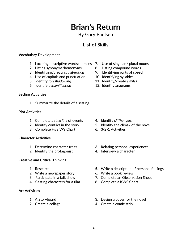### By Gary Paulsen

### **List of Skills**

#### **Vocabulary Development**

- 1. Locating descriptive words/phrases 7. Use of singular / plural nouns
- 2. Listing synonyms/homonyms 8. Listing compound words
- 3. Identifying/creating *alliteration* 9. Identifying parts of speech
- 4. Use of capitals and punctuation 10. Identifying syllables
- 
- 6. Identify *personification* 12. Identify anagrams

#### **Setting Activities**

1. Summarize the details of a setting

#### **Plot Activities**

- 1. Complete a *time line* of events 4. Identify *cliffhangers*
- 
- 3. Complete Five W's Chart 6. 3-2-1 Activities

#### **Character Activities**

- 
- 2. Identify the protagonist 4. Interview a character

#### **Creative and Critical Thinking**

- 
- 2. Write a newspaper story 6. Write a book review
- 
- 4. Casting characters for a film. 8. Complete a KWS Chart

#### **Art Activities**

- 
- 
- 
- 
- 
- 
- 5. Identify *foreshadowing*. 11. Identify/create *similes*
	-

- 
- 2. Identify conflict in the story 5. Identify the climax of the novel.
	-
- 1. Determine character traits 3. Relating personal experiences
	-
- 1. Research 5. Write a description of personal feelings
	-
- 3. Participate in a talk show 7. Complete an Observation Sheet
	-
- 1. A Storyboard 3. Design a cover for the novel
- 2. Create a collage 4. Create a comic strip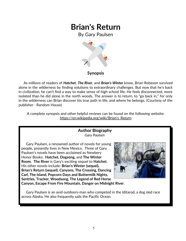By Gary Paulsen



#### **Synopsis**

 As millions of readers of *Hatchet*, *The River*, and *Brian's Winter* know, Brian Robeson survived alone in the wilderness by finding solutions to extraordinary challenges. But now that he's back in civilization, he can't find a way to make sense of high school life. He feels disconnected, more isolated than he did alone in the north woods. The answer is to return, to "go back in," for only in the wilderness can Brian discover his true path in life, and where he belongs. (Courtesy of the publisher - Random House)

A complete synopsis and other helpful reviews can be found on the following website: https://en.wikipedia.org/wiki/Brian's\_Return

#### **Author Biography** *Gary Paulsen*

 Gary Paulsen, a renowned author of novels for young people, presently lives in New Mexico. Three of Gary Paulsen's novels have been acclaimed as Newbery Honor Books: **Hatchet, Dogsong,** and **The Winter Room**. **The River** is Gary's exciting sequel to **Hatchet**. His other novels include: **Brian's Winter (sequel), Brian's Return (sequel), Canyons, The Crossing, Dancing Carl, The Island, Popcorn Days and Buttermilk Nights, Sentries, Tracker, Woodsong, The Legend of Red Horse**



**Canyon, Escape From Fire Mountain, Danger on Midnight River**.

 Gary Paulsen is an avid outdoors-man who competed in the Iditarod, a dog sled race across Alaska. He also frequently sails the Pacific Ocean.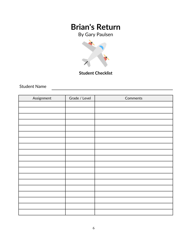By Gary Paulsen



### **Student Checklist**

Student Name

| Assignment | Grade / Level | Comments |
|------------|---------------|----------|
|            |               |          |
|            |               |          |
|            |               |          |
|            |               |          |
|            |               |          |
|            |               |          |
|            |               |          |
|            |               |          |
|            |               |          |
|            |               |          |
|            |               |          |
|            |               |          |
|            |               |          |
|            |               |          |
|            |               |          |
|            |               |          |
|            |               |          |
|            |               |          |
|            |               |          |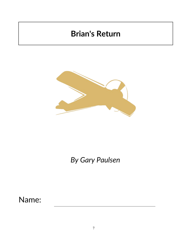

*By Gary Paulsen*

Name: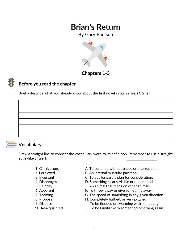By Gary Paulsen



### **Chapters 1***-***3**

### **Before you read the chapter**:

Briefly describe what you already know about the first novel in our series, *Hatchet*.



#### **Vocabulary:**

Draw a straight line to connect the vocabulary word to its definition. Remember to use a straight edge (like a ruler).

- 
- 
- 
- 
- 
- 
- 
- 
- 
- 
- 1. Carnivorous A. To continue without pause or interruption.
- 2. Perplexed B. An internal muscular partition.
- 3. Incessant C. To put forward a plan for consideration.
- 4. Diaphragm D. Something clearly visible or understood.
- 5. Velocity E. An animal that feeds on other animals.
- 6. Apparent **F. To throw away or give something away.**
- 7. Teeming G. The speed of something in any given direction.
- 8. Propose **H. Completely baffled, or very puzzled.**
- 9. Dispose The I. To be flooded or swarming with something.
- 10. Reacquainted J. To be familiar with someone/something again.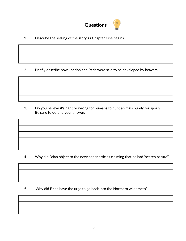

1. Describe the setting of the story as Chapter One begins.

2. Briefly describe how London and Paris were said to be developed by beavers.

3. Do you believe it's right or wrong for humans to hunt animals purely for sport? Be sure to defend your answer.

4. Why did Brian object to the newspaper articles claiming that he had 'beaten nature'?

5. Why did Brian have the urge to go back into the Northern wilderness?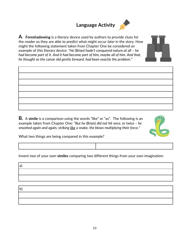## **Language Activity**



**A. Foreshadowing** is a literary device used by authors to provide clues for the reader so they are able to predict what might occur *later* in the story. How might the following statement taken from Chapter One be considered an example of this literary device: *"He (Brian) hadn't conquered nature at all – he had become part of it. And it had become part of him, maybe all of him. And that, he thought as the canoe slid gently forward, had been exactly the problem."*



*smashed again and again, striking like a snake, the blows multiplying their force.*"



What two things are being compared in this example?

Invent two of your own **similes** comparing two different things from your own imagination:

| la,         |  |  |
|-------------|--|--|
|             |  |  |
|             |  |  |
|             |  |  |
| $ b\rangle$ |  |  |
|             |  |  |
|             |  |  |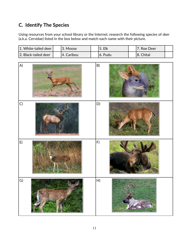### **C. Identify The Species**

Using resources from your school library or the Internet, research the following species of *deer* (a.k.a. Cervidae) listed in the box below and match each name with their picture.

| 1. White-tailed deer  | '3. Moose  | <b>5. Elk</b> | 7. Roe Deer |  |
|-----------------------|------------|---------------|-------------|--|
| 12. Black-tailed deer | 4. Caribou | .6. Pudu      | 18. Chital  |  |

| $\mathsf{A}$ | www.naturfoto.cz | B)                        |  |
|--------------|------------------|---------------------------|--|
| $\mathsf{C}$ |                  | D)                        |  |
| E)           |                  | F)                        |  |
| G)           |                  | $\boldsymbol{\mathsf{H}}$ |  |